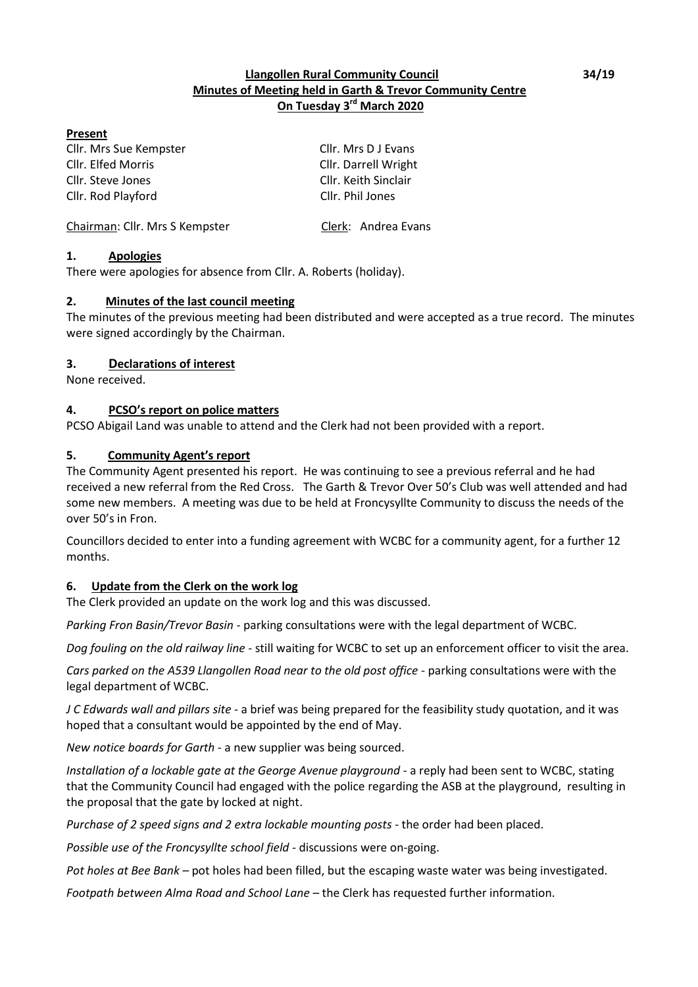### **Llangollen Rural Community Council 34/19 Minutes of Meeting held in Garth & Trevor Community Centre On Tuesday 3 rd March 2020**

#### **Present**

Cllr. Mrs Sue Kempster Cllr. Mrs D J Evans Cllr. Elfed Morris Cllr. Darrell Wright Cllr. Steve Jones Cllr. Keith Sinclair Cllr. Rod Playford Cllr. Phil Jones

Chairman: Cllr. Mrs S Kempster Clerk: Andrea Evans

### **1. Apologies**

There were apologies for absence from Cllr. A. Roberts (holiday).

### **2. Minutes of the last council meeting**

The minutes of the previous meeting had been distributed and were accepted as a true record. The minutes were signed accordingly by the Chairman.

### **3. Declarations of interest**

None received.

### **4. PCSO's report on police matters**

PCSO Abigail Land was unable to attend and the Clerk had not been provided with a report.

### **5. Community Agent's report**

The Community Agent presented his report. He was continuing to see a previous referral and he had received a new referral from the Red Cross. The Garth & Trevor Over 50's Club was well attended and had some new members. A meeting was due to be held at Froncysyllte Community to discuss the needs of the over 50's in Fron.

Councillors decided to enter into a funding agreement with WCBC for a community agent, for a further 12 months.

### **6. Update from the Clerk on the work log**

The Clerk provided an update on the work log and this was discussed.

*Parking Fron Basin/Trevor Basin -* parking consultations were with the legal department of WCBC.

*Dog fouling on the old railway line* - still waiting for WCBC to set up an enforcement officer to visit the area.

*Cars parked on the A539 Llangollen Road near to the old post office* - parking consultations were with the legal department of WCBC.

*J C Edwards wall and pillars site* - a brief was being prepared for the feasibility study quotation, and it was hoped that a consultant would be appointed by the end of May.

*New notice boards for Garth* - a new supplier was being sourced.

*Installation of a lockable gate at the George Avenue playground* - a reply had been sent to WCBC, stating that the Community Council had engaged with the police regarding the ASB at the playground, resulting in the proposal that the gate by locked at night.

*Purchase of 2 speed signs and 2 extra lockable mounting posts* - the order had been placed.

*Possible use of the Froncysyllte school field -* discussions were on-going.

Pot holes at Bee Bank – pot holes had been filled, but the escaping waste water was being investigated.

*Footpath between Alma Road and School Lane* – the Clerk has requested further information.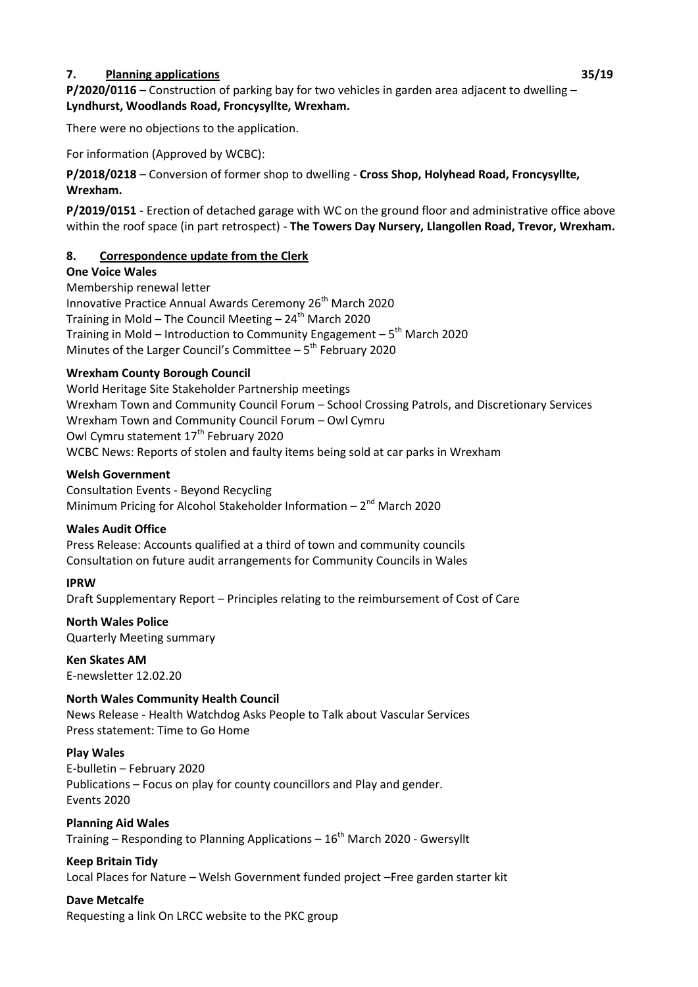### **7. Planning applications 35/19**

**P/2020/0116** – Construction of parking bay for two vehicles in garden area adjacent to dwelling – **Lyndhurst, Woodlands Road, Froncysyllte, Wrexham.**

There were no objections to the application.

For information (Approved by WCBC):

**P/2018/0218** – Conversion of former shop to dwelling - **Cross Shop, Holyhead Road, Froncysyllte, Wrexham.**

**P/2019/0151** - Erection of detached garage with WC on the ground floor and administrative office above within the roof space (in part retrospect) - **The Towers Day Nursery, Llangollen Road, Trevor, Wrexham.**

#### **8. Correspondence update from the Clerk**

#### **One Voice Wales**

Membership renewal letter Innovative Practice Annual Awards Ceremony 26<sup>th</sup> March 2020 Training in Mold – The Council Meeting –  $24<sup>th</sup>$  March 2020 Training in Mold – Introduction to Community Engagement – 5<sup>th</sup> March 2020 Minutes of the Larger Council's Committee  $-5$ <sup>th</sup> February 2020

#### **Wrexham County Borough Council**

World Heritage Site Stakeholder Partnership meetings Wrexham Town and Community Council Forum – School Crossing Patrols, and Discretionary Services Wrexham Town and Community Council Forum – Owl Cymru Owl Cymru statement 17<sup>th</sup> February 2020 WCBC News: Reports of stolen and faulty items being sold at car parks in Wrexham

#### **Welsh Government**

Consultation Events - Beyond Recycling Minimum Pricing for Alcohol Stakeholder Information  $-2<sup>nd</sup>$  March 2020

#### **Wales Audit Office**

Press Release: Accounts qualified at a third of town and community councils Consultation on future audit arrangements for Community Councils in Wales

#### **IPRW**

Draft Supplementary Report – Principles relating to the reimbursement of Cost of Care

## **North Wales Police**

Quarterly Meeting summary

## **Ken Skates AM**

E-newsletter 12.02.20

### **North Wales Community Health Council**

News Release - Health Watchdog Asks People to Talk about Vascular Services Press statement: Time to Go Home

#### **Play Wales**

E-bulletin – February 2020 Publications – Focus on play for county councillors and Play and gender. Events 2020

#### **Planning Aid Wales**

Training – Responding to Planning Applications –  $16<sup>th</sup>$  March 2020 - Gwersyllt

## **Keep Britain Tidy**

Local Places for Nature – Welsh Government funded project –Free garden starter kit

## **Dave Metcalfe**

Requesting a link On LRCC website to the PKC group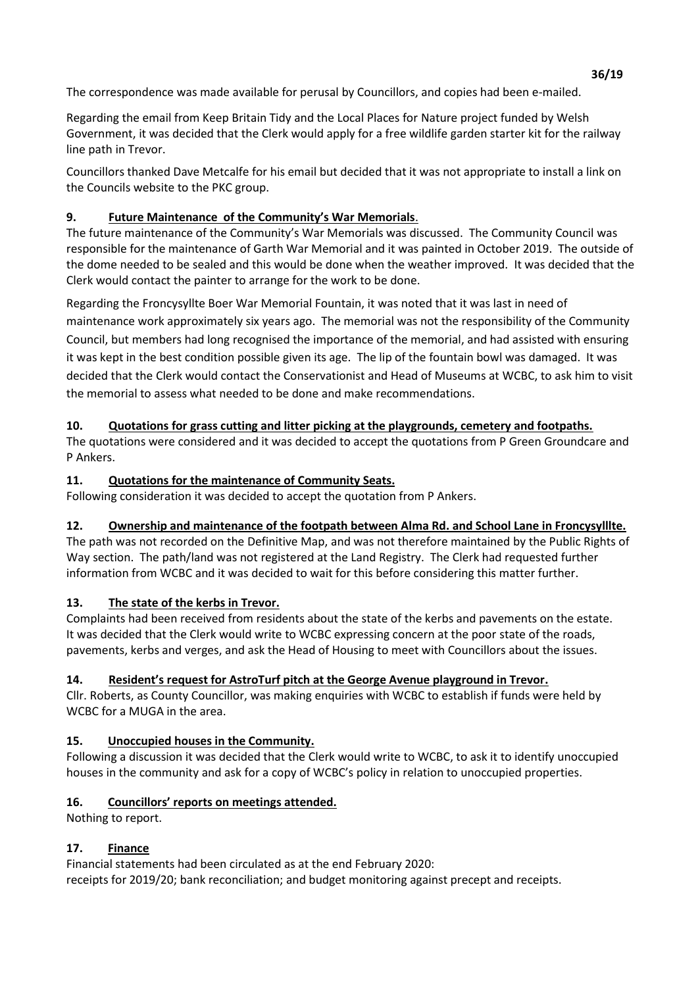The correspondence was made available for perusal by Councillors, and copies had been e-mailed.

Regarding the email from Keep Britain Tidy and the Local Places for Nature project funded by Welsh Government, it was decided that the Clerk would apply for a free wildlife garden starter kit for the railway line path in Trevor.

Councillors thanked Dave Metcalfe for his email but decided that it was not appropriate to install a link on the Councils website to the PKC group.

# **9. Future Maintenance of the Community's War Memorials**.

The future maintenance of the Community's War Memorials was discussed. The Community Council was responsible for the maintenance of Garth War Memorial and it was painted in October 2019. The outside of the dome needed to be sealed and this would be done when the weather improved. It was decided that the Clerk would contact the painter to arrange for the work to be done.

Regarding the Froncysyllte Boer War Memorial Fountain, it was noted that it was last in need of maintenance work approximately six years ago.The memorial was not the responsibility of the Community Council, but members had long recognised the importance of the memorial, and had assisted with ensuring it was kept in the best condition possible given its age. The lip of the fountain bowl was damaged. It was decided that the Clerk would contact the Conservationist and Head of Museums at WCBC, to ask him to visit the memorial to assess what needed to be done and make recommendations.

# **10. Quotations for grass cutting and litter picking at the playgrounds, cemetery and footpaths.**

The quotations were considered and it was decided to accept the quotations from P Green Groundcare and P Ankers.

# **11. Quotations for the maintenance of Community Seats.**

Following consideration it was decided to accept the quotation from P Ankers.

# **12. Ownership and maintenance of the footpath between Alma Rd. and School Lane in Froncysylllte.**

The path was not recorded on the Definitive Map, and was not therefore maintained by the Public Rights of Way section. The path/land was not registered at the Land Registry. The Clerk had requested further information from WCBC and it was decided to wait for this before considering this matter further.

# **13. The state of the kerbs in Trevor.**

Complaints had been received from residents about the state of the kerbs and pavements on the estate. It was decided that the Clerk would write to WCBC expressing concern at the poor state of the roads, pavements, kerbs and verges, and ask the Head of Housing to meet with Councillors about the issues.

# **14. Resident's request for AstroTurf pitch at the George Avenue playground in Trevor.**

Cllr. Roberts, as County Councillor, was making enquiries with WCBC to establish if funds were held by WCBC for a MUGA in the area.

# **15. Unoccupied houses in the Community.**

Following a discussion it was decided that the Clerk would write to WCBC, to ask it to identify unoccupied houses in the community and ask for a copy of WCBC's policy in relation to unoccupied properties.

# **16. Councillors' reports on meetings attended.**

Nothing to report.

# **17. Finance**

Financial statements had been circulated as at the end February 2020: receipts for 2019/20; bank reconciliation; and budget monitoring against precept and receipts.